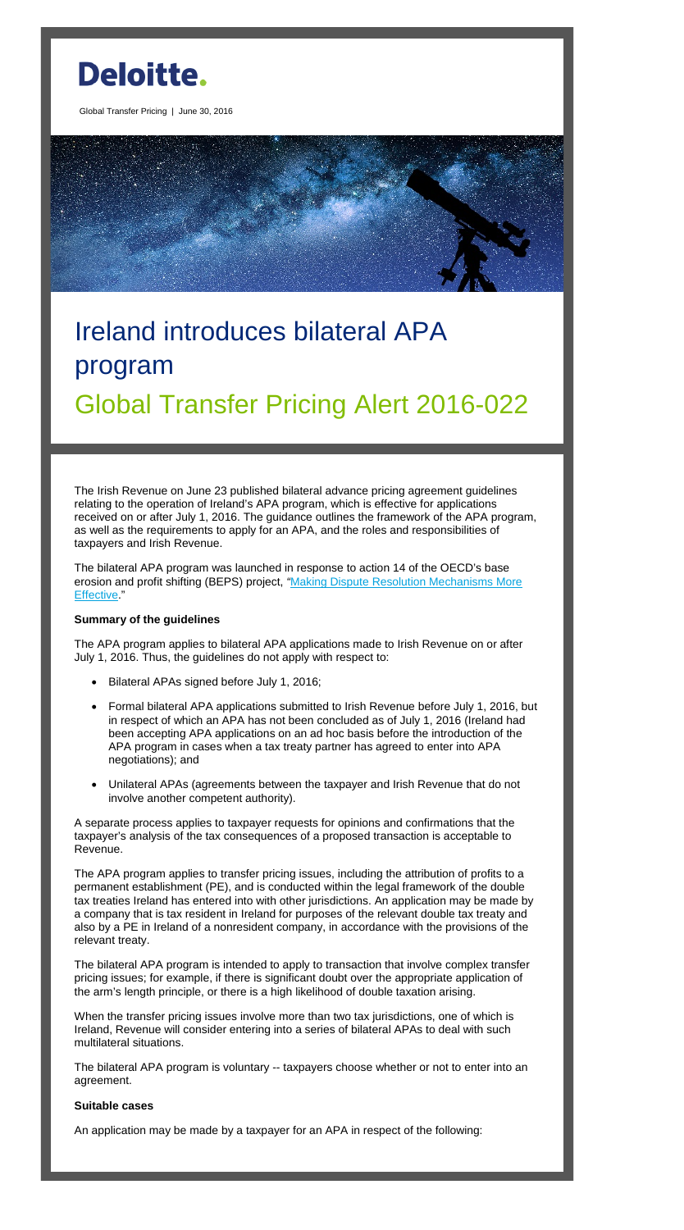

Global Transfer Pricing | June 30, 2016

# Ireland introduces bilateral APA program Global Transfer Pricing Alert 2016-022

The Irish Revenue on June 23 published bilateral advance pricing agreement guidelines relating to the operation of Ireland's APA program, which is effective for applications received on or after July 1, 2016. The guidance outlines the framework of the APA program, as well as the requirements to apply for an APA, and the roles and responsibilities of taxpayers and Irish Revenue.

The bilateral APA program was launched in response to action 14 of the OECD's base erosion and profit shifting (BEPS) project, *"*[Making Dispute Resolution Mechanisms More](http://www.oecd.org/ctp/making-dispute-resolution-mechanisms-more-effective-action-14-2015-final-report-9789264241633-en.htm)  [Effective.](http://www.oecd.org/ctp/making-dispute-resolution-mechanisms-more-effective-action-14-2015-final-report-9789264241633-en.htm)"

# **Summary of the guidelines**

The APA program applies to bilateral APA applications made to Irish Revenue on or after July 1, 2016. Thus, the guidelines do not apply with respect to:

- Bilateral APAs signed before July 1, 2016;
- Formal bilateral APA applications submitted to Irish Revenue before July 1, 2016, but in respect of which an APA has not been concluded as of July 1, 2016 (Ireland had been accepting APA applications on an ad hoc basis before the introduction of the APA program in cases when a tax treaty partner has agreed to enter into APA negotiations); and
- Unilateral APAs (agreements between the taxpayer and Irish Revenue that do not involve another competent authority).

When the transfer pricing issues involve more than two tax jurisdictions, one of which is Ireland, Revenue will consider entering into a series of bilateral APAs to deal with such multilateral situations.

A separate process applies to taxpayer requests for opinions and confirmations that the taxpayer's analysis of the tax consequences of a proposed transaction is acceptable to Revenue.

The APA program applies to transfer pricing issues, including the attribution of profits to a permanent establishment (PE), and is conducted within the legal framework of the double tax treaties Ireland has entered into with other jurisdictions. An application may be made by a company that is tax resident in Ireland for purposes of the relevant double tax treaty and also by a PE in Ireland of a nonresident company, in accordance with the provisions of the relevant treaty.

The bilateral APA program is intended to apply to transaction that involve complex transfer pricing issues; for example, if there is significant doubt over the appropriate application of the arm's length principle, or there is a high likelihood of double taxation arising.

The bilateral APA program is voluntary -- taxpayers choose whether or not to enter into an agreement.

#### **Suitable cases**

An application may be made by a taxpayer for an APA in respect of the following: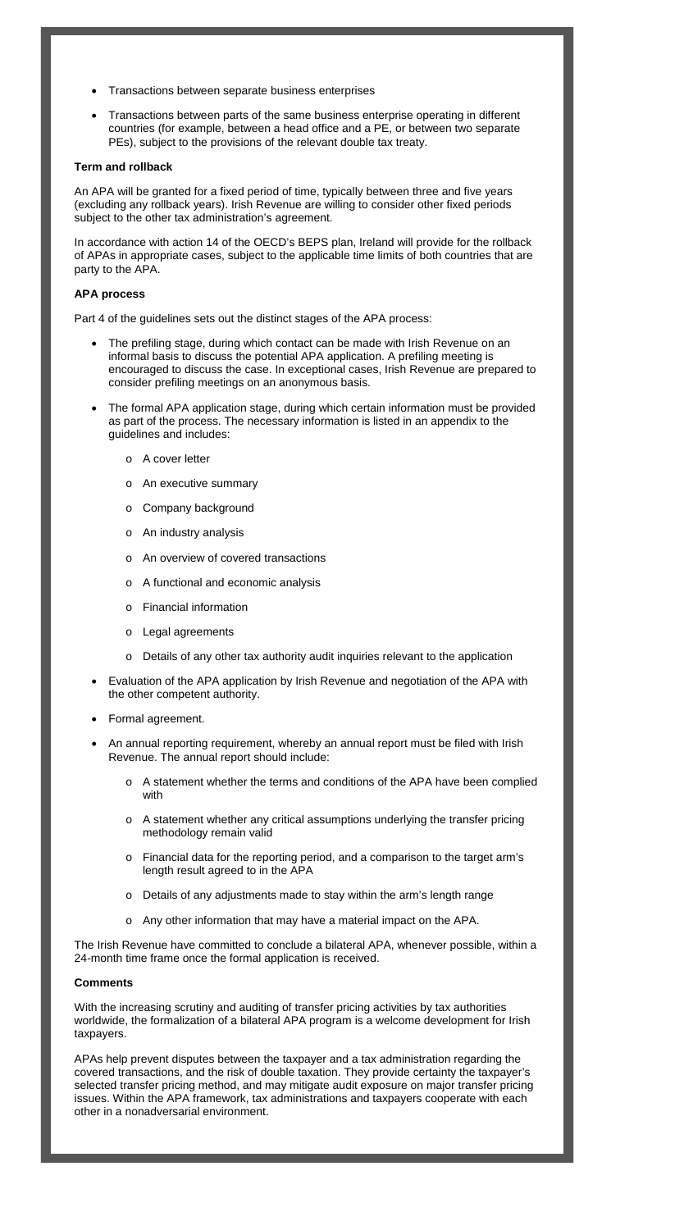- Transactions between separate business enterprises
- Transactions between parts of the same business enterprise operating in different countries (for example, between a head office and a PE, or between two separate PEs), subject to the provisions of the relevant double tax treaty.

## **Term and rollback**

An APA will be granted for a fixed period of time, typically between three and five years (excluding any rollback years). Irish Revenue are willing to consider other fixed periods subject to the other tax administration's agreement.

In accordance with action 14 of the OECD's BEPS plan, Ireland will provide for the rollback of APAs in appropriate cases, subject to the applicable time limits of both countries that are party to the APA.

# **APA process**

Part 4 of the guidelines sets out the distinct stages of the APA process:

- The prefiling stage, during which contact can be made with Irish Revenue on an informal basis to discuss the potential APA application. A prefiling meeting is encouraged to discuss the case. In exceptional cases, Irish Revenue are prepared to consider prefiling meetings on an anonymous basis.
- The formal APA application stage, during which certain information must be provided as part of the process. The necessary information is listed in an appendix to the guidelines and includes:
	- o A cover letter
	- o An executive summary
	- o Company background
	- o An industry analysis
	- o An overview of covered transactions
	- o A functional and economic analysis
	- o Financial information
	- o Legal agreements
	- o Details of any other tax authority audit inquiries relevant to the application
- Evaluation of the APA application by Irish Revenue and negotiation of the APA with the other competent authority.
- Formal agreement.
- An annual reporting requirement, whereby an annual report must be filed with Irish Revenue. The annual report should include:
	- o A statement whether the terms and conditions of the APA have been complied with
	- o A statement whether any critical assumptions underlying the transfer pricing methodology remain valid
	-
	- o Financial data for the reporting period, and a comparison to the target arm's length result agreed to in the APA
	- o Details of any adjustments made to stay within the arm's length range
	- o Any other information that may have a material impact on the APA.

The Irish Revenue have committed to conclude a bilateral APA, whenever possible, within a 24-month time frame once the formal application is received.

### **Comments**

With the increasing scrutiny and auditing of transfer pricing activities by tax authorities worldwide, the formalization of a bilateral APA program is a welcome development for Irish taxpayers.

APAs help prevent disputes between the taxpayer and a tax administration regarding the covered transactions, and the risk of double taxation. They provide certainty the taxpayer's selected transfer pricing method, and may mitigate audit exposure on major transfer pricing issues. Within the APA framework, tax administrations and taxpayers cooperate with each other in a nonadversarial environment.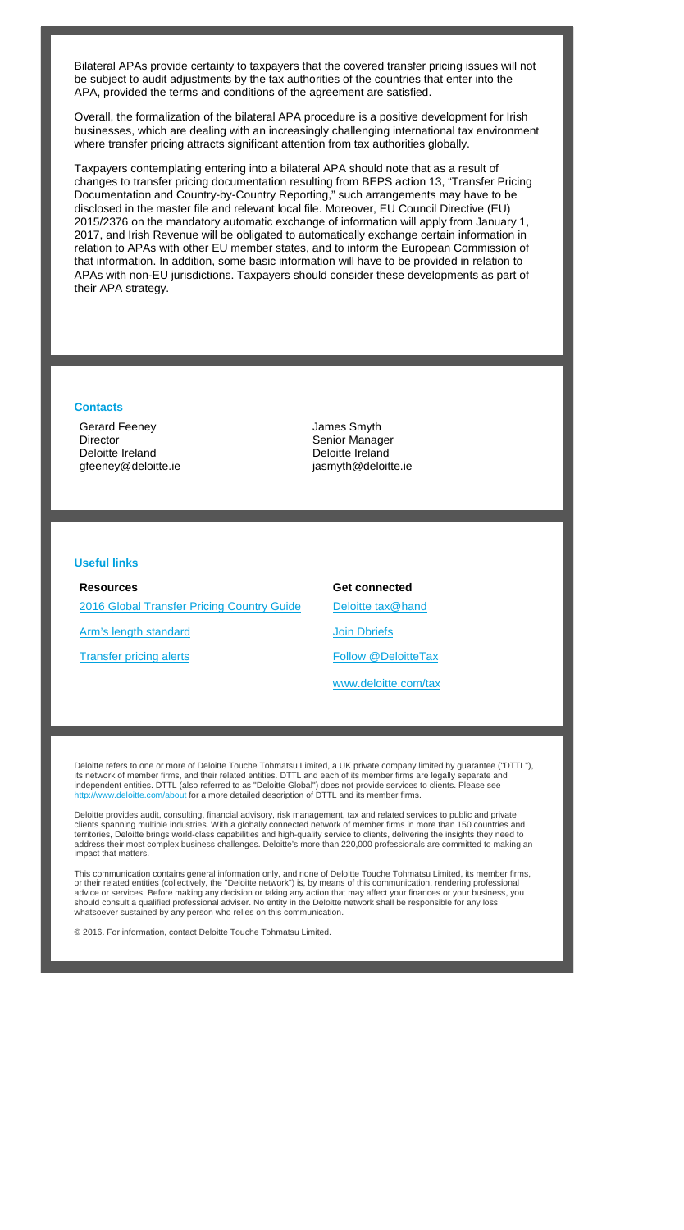Bilateral APAs provide certainty to taxpayers that the covered transfer pricing issues will not be subject to audit adjustments by the tax authorities of the countries that enter into the APA, provided the terms and conditions of the agreement are satisfied.

Overall, the formalization of the bilateral APA procedure is a positive development for Irish businesses, which are dealing with an increasingly challenging international tax environment where transfer pricing attracts significant attention from tax authorities globally.

**Resources** [2016 Global Transfer Pricing Country Guide](https://www2.deloitte.com/us/en/pages/tax/articles/global-transfer-pricing-country-guide.html) [Arm's length standard](http://www2.deloitte.com/global/en/pages/tax/articles/arms-length-standard.html) **[Transfer pricing alerts](http://www2.deloitte.com/global/en/pages/tax/articles/global-transfer-pricing-alerts.html)** 

Taxpayers contemplating entering into a bilateral APA should note that as a result of changes to transfer pricing documentation resulting from BEPS action 13, "Transfer Pricing Documentation and Country-by-Country Reporting," such arrangements may have to be disclosed in the master file and relevant local file. Moreover, EU Council Directive (EU) 2015/2376 on the mandatory automatic exchange of information will apply from January 1, 2017, and Irish Revenue will be obligated to automatically exchange certain information in relation to APAs with other EU member states, and to inform the European Commission of that information. In addition, some basic information will have to be provided in relation to APAs with non-EU jurisdictions. Taxpayers should consider these developments as part of their APA strategy.

#### **Contacts**

Gerard Feeney **Director** Deloitte Ireland gfeeney@deloitte.ie James Smyth Senior Manager Deloitte Ireland jasmyth@deloitte.ie

#### **Useful links**

**Get connected**

[Deloitte tax@hand](http://www2.deloitte.com/us/en/pages/tax/articles/deloitte-tax-at-hand-mobile-app.html)

[Join Dbriefs](https://www2.deloitte.com/global/en/pages/about-deloitte/articles/dbriefs-webcasts.html)

[Follow @DeloitteTax](http://www.twitter.com/deloittetax)

[www.deloitte.com/tax](http://www.deloitte.com/tax)

Deloitte refers to one or more of Deloitte Touche Tohmatsu Limited, a UK private company limited by guarantee ("DTTL"), its network of member firms, and their related entities. DTTL and each of its member firms are legally separate and independent entities. DTTL (also referred to as "Deloitte Global") does not provide services to clients. Please see http://www.deloitte.com/about for a more detailed description of DTTL and its member firms.

Deloitte provides audit, consulting, financial advisory, risk management, tax and related services to public and private clients spanning multiple industries. With a globally connected network of member firms in more than 150 countries and territories, Deloitte brings world-class capabilities and high-quality service to clients, delivering the insights they need to address their most complex business challenges. Deloitte's more than 220,000 professionals are committed to making an

impact that matters.

This communication contains general information only, and none of Deloitte Touche Tohmatsu Limited, its member firms, or their related entities (collectively, the "Deloitte network") is, by means of this communication, rendering professional advice or services. Before making any decision or taking any action that may affect your finances or your business, you should consult a qualified professional adviser. No entity in the Deloitte network shall be responsible for any loss whatsoever sustained by any person who relies on this communication.

© 2016. For information, contact Deloitte Touche Tohmatsu Limited.